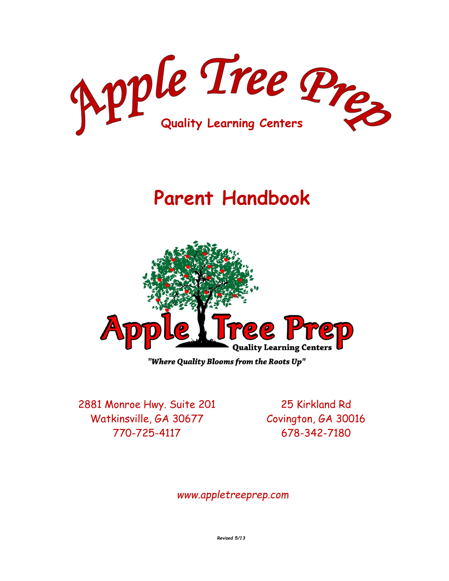

# **Parent Handbook**



"Where Quality Blooms from the Roots Up"

2881 Monroe Hwy. Suite 201 Watkinsville, GA 30677 770-725-4117

25 Kirkland Rd Covington, GA 30016 678-342-7180

*www.appletreeprep.com*

*Revised 5/13*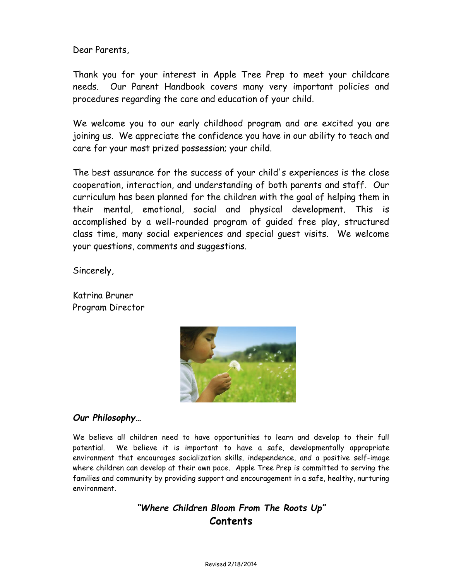Dear Parents,

Thank you for your interest in Apple Tree Prep to meet your childcare needs. Our Parent Handbook covers many very important policies and procedures regarding the care and education of your child.

We welcome you to our early childhood program and are excited you are joining us. We appreciate the confidence you have in our ability to teach and care for your most prized possession; your child.

The best assurance for the success of your child's experiences is the close cooperation, interaction, and understanding of both parents and staff. Our curriculum has been planned for the children with the goal of helping them in their mental, emotional, social and physical development. This is accomplished by a well-rounded program of guided free play, structured class time, many social experiences and special guest visits. We welcome your questions, comments and suggestions.

Sincerely,

Katrina Bruner Program Director



# *Our Philosophy…*

We believe all children need to have opportunities to learn and develop to their full potential. We believe it is important to have a safe, developmentally appropriate environment that encourages socialization skills, independence, and a positive self-image where children can develop at their own pace. Apple Tree Prep is committed to serving the families and community by providing support and encouragement in a safe, healthy, nurturing environment.

# *"Where Children Bloom From The Roots Up"* **Contents**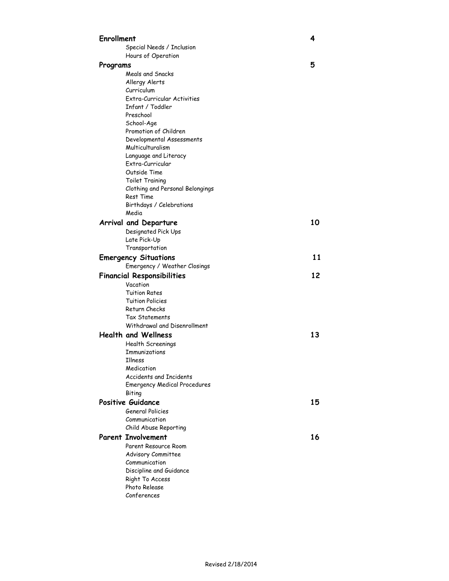| <b>Enrollment</b>                 |                                              | 4  |
|-----------------------------------|----------------------------------------------|----|
|                                   | Special Needs / Inclusion                    |    |
|                                   | Hours of Operation                           |    |
| Programs                          |                                              | 5  |
|                                   | Meals and Snacks                             |    |
|                                   | Allergy Alerts                               |    |
|                                   | Curriculum                                   |    |
|                                   | Extra-Curricular Activities                  |    |
|                                   | Infant / Toddler                             |    |
|                                   | Preschool                                    |    |
|                                   | School-Age                                   |    |
|                                   | Promotion of Children                        |    |
|                                   | Developmental Assessments                    |    |
|                                   | Multiculturalism                             |    |
|                                   | Language and Literacy                        |    |
|                                   | Extra-Curricular                             |    |
|                                   | Outside Time                                 |    |
|                                   | Toilet Training                              |    |
|                                   | Clothing and Personal Belongings             |    |
|                                   | Rest Time                                    |    |
|                                   | Birthdays / Celebrations                     |    |
|                                   | Media                                        |    |
|                                   | Arrival and Departure                        | 10 |
|                                   | Designated Pick Ups                          |    |
|                                   | Late Pick-Up                                 |    |
|                                   | Transportation                               |    |
|                                   | <b>Emergency Situations</b>                  | 11 |
|                                   | Emergency / Weather Closings                 |    |
| <b>Financial Responsibilities</b> |                                              | 12 |
|                                   | Vacation                                     |    |
|                                   | Tuition Rates                                |    |
|                                   | <b>Tuition Policies</b>                      |    |
|                                   | Return Checks                                |    |
|                                   | Tax Statements                               |    |
|                                   | Withdrawal and Disenrollment                 |    |
|                                   | <b>Health and Wellness</b>                   | 13 |
|                                   | Health Screenings                            |    |
|                                   | Immunizations                                |    |
|                                   | Illness                                      |    |
|                                   | Medication                                   |    |
|                                   | Accidents and Incidents                      |    |
|                                   | <b>Emergency Medical Procedures</b>          |    |
|                                   |                                              |    |
|                                   | <b>Biting</b>                                |    |
|                                   |                                              |    |
|                                   | Positive Guidance<br><b>General Policies</b> | 15 |
|                                   | Communication                                |    |
|                                   |                                              |    |
|                                   | Child Abuse Reporting                        |    |
|                                   | <b>Parent Involvement</b>                    | 16 |
|                                   | Parent Resource Room                         |    |
|                                   | Advisory Committee                           |    |
|                                   | Communication                                |    |
|                                   | Discipline and Guidance                      |    |
|                                   | Right To Access<br>Photo Release             |    |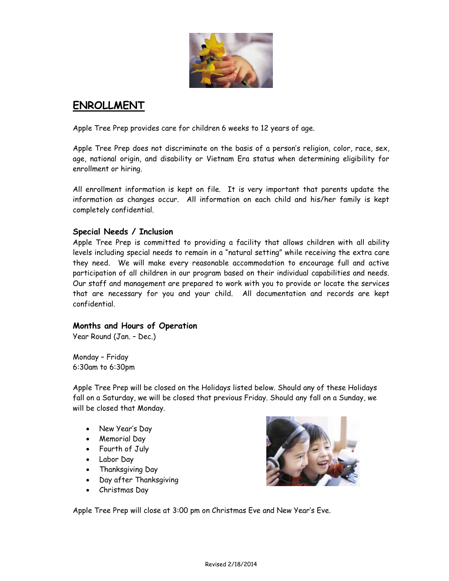

# **ENROLLMENT**

Apple Tree Prep provides care for children 6 weeks to 12 years of age.

Apple Tree Prep does not discriminate on the basis of a person's religion, color, race, sex, age, national origin, and disability or Vietnam Era status when determining eligibility for enrollment or hiring.

All enrollment information is kept on file. It is very important that parents update the information as changes occur. All information on each child and his/her family is kept completely confidential.

#### **Special Needs / Inclusion**

Apple Tree Prep is committed to providing a facility that allows children with all ability levels including special needs to remain in a "natural setting" while receiving the extra care they need. We will make every reasonable accommodation to encourage full and active participation of all children in our program based on their individual capabilities and needs. Our staff and management are prepared to work with you to provide or locate the services that are necessary for you and your child. All documentation and records are kept confidential.

#### **Months and Hours of Operation**

Year Round (Jan. – Dec.)

Monday – Friday 6:30am to 6:30pm

Apple Tree Prep will be closed on the Holidays listed below. Should any of these Holidays fall on a Saturday, we will be closed that previous Friday. Should any fall on a Sunday, we will be closed that Monday.

- New Year's Day
- Memorial Day
- Fourth of July
- Labor Day
- Thanksgiving Day
- Day after Thanksgiving
- Christmas Day



Apple Tree Prep will close at 3:00 pm on Christmas Eve and New Year's Eve.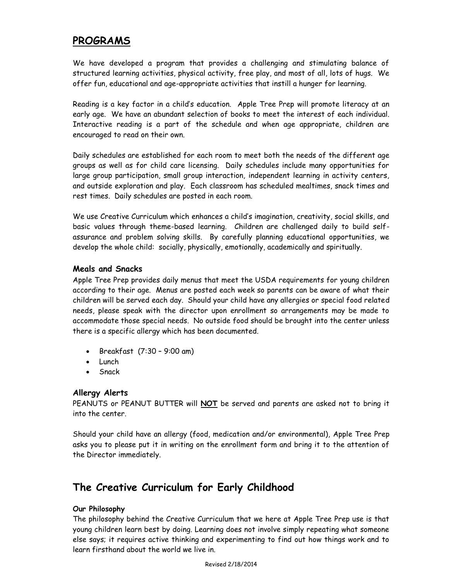# **PROGRAMS**

We have developed a program that provides a challenging and stimulating balance of structured learning activities, physical activity, free play, and most of all, lots of hugs. We offer fun, educational and age-appropriate activities that instill a hunger for learning.

Reading is a key factor in a child's education. Apple Tree Prep will promote literacy at an early age. We have an abundant selection of books to meet the interest of each individual. Interactive reading is a part of the schedule and when age appropriate, children are encouraged to read on their own.

Daily schedules are established for each room to meet both the needs of the different age groups as well as for child care licensing. Daily schedules include many opportunities for large group participation, small group interaction, independent learning in activity centers, and outside exploration and play. Each classroom has scheduled mealtimes, snack times and rest times. Daily schedules are posted in each room.

We use Creative Curriculum which enhances a child's imagination, creativity, social skills, and basic values through theme-based learning. Children are challenged daily to build selfassurance and problem solving skills. By carefully planning educational opportunities, we develop the whole child: socially, physically, emotionally, academically and spiritually.

#### **Meals and Snacks**

Apple Tree Prep provides daily menus that meet the USDA requirements for young children according to their age. Menus are posted each week so parents can be aware of what their children will be served each day. Should your child have any allergies or special food related needs, please speak with the director upon enrollment so arrangements may be made to accommodate those special needs. No outside food should be brought into the center unless there is a specific allergy which has been documented.

- $\bullet$  Breakfast  $(7:30 9:00)$  am)
- Lunch
- Snack

# **Allergy Alerts**

PEANUTS or PEANUT BUTTER will **NOT** be served and parents are asked not to bring it into the center.

Should your child have an allergy (food, medication and/or environmental), Apple Tree Prep asks you to please put it in writing on the enrollment form and bring it to the attention of the Director immediately.

# **The Creative Curriculum for Early Childhood**

#### **Our Philosophy**

The philosophy behind the Creative Curriculum that we here at Apple Tree Prep use is that young children learn best by doing. Learning does not involve simply repeating what someone else says; it requires active thinking and experimenting to find out how things work and to learn firsthand about the world we live in.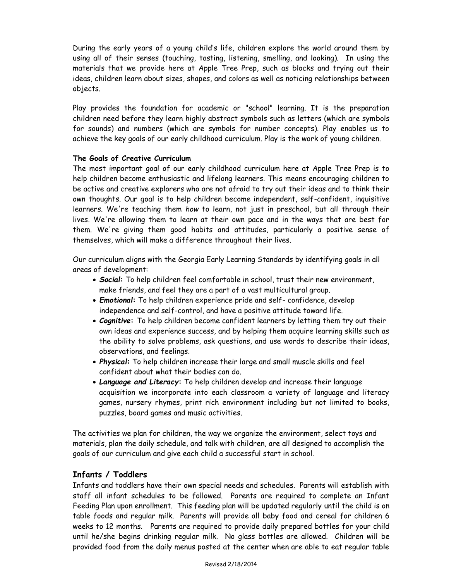During the early years of a young child's life, children explore the world around them by using all of their senses (touching, tasting, listening, smelling, and looking). In using the materials that we provide here at Apple Tree Prep, such as blocks and trying out their ideas, children learn about sizes, shapes, and colors as well as noticing relationships between objects.

Play provides the foundation for academic or "school" learning. It is the preparation children need before they learn highly abstract symbols such as letters (which are symbols for sounds) and numbers (which are symbols for number concepts). Play enables us to achieve the key goals of our early childhood curriculum. Play is the work of young children.

#### **The Goals of Creative Curriculum**

The most important goal of our early childhood curriculum here at Apple Tree Prep is to help children become enthusiastic and lifelong learners. This means encouraging children to be active and creative explorers who are not afraid to try out their ideas and to think their own thoughts. Our goal is to help children become independent, self-confident, inquisitive learners. We're teaching them *how* to learn, not just in preschool, but all through their lives. We're allowing them to learn at their own pace and in the ways that are best for them. We're giving them good habits and attitudes, particularly a positive sense of themselves, which will make a difference throughout their lives.

Our curriculum aligns with the Georgia Early Learning Standards by identifying goals in all areas of development:

- *Social***:** To help children feel comfortable in school, trust their new environment, make friends, and feel they are a part of a vast multicultural group.
- *Emotional***:** To help children experience pride and self- confidence, develop independence and self-control, and have a positive attitude toward life.
- *Cognitive***:** To help children become confident learners by letting them try out their own ideas and experience success, and by helping them acquire learning skills such as the ability to solve problems, ask questions, and use words to describe their ideas, observations, and feelings.
- *Physical***:** To help children increase their large and small muscle skills and feel confident about what their bodies can do.
- *Language and Literacy***:** To help children develop and increase their language acquisition we incorporate into each classroom a variety of language and literacy games, nursery rhymes, print rich environment including but not limited to books, puzzles, board games and music activities.

The activities we plan for children, the way we organize the environment, select toys and materials, plan the daily schedule, and talk with children, are all designed to accomplish the goals of our curriculum and give each child a successful start in school.

#### **Infants / Toddlers**

Infants and toddlers have their own special needs and schedules. Parents will establish with staff all infant schedules to be followed. Parents are required to complete an Infant Feeding Plan upon enrollment. This feeding plan will be updated regularly until the child is on table foods and regular milk. Parents will provide all baby food and cereal for children 6 weeks to 12 months. Parents are required to provide daily prepared bottles for your child until he/she begins drinking regular milk. No glass bottles are allowed. Children will be provided food from the daily menus posted at the center when are able to eat regular table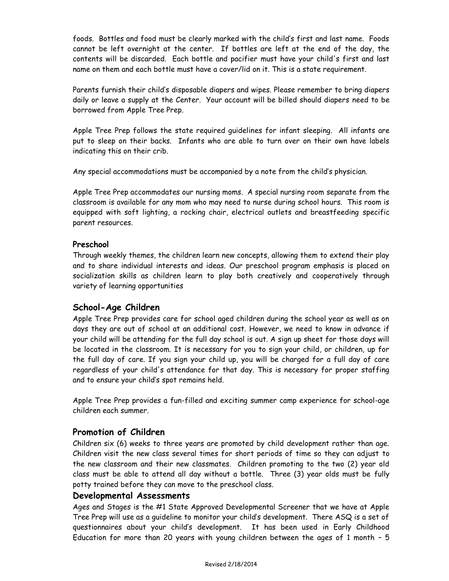foods. Bottles and food must be clearly marked with the child's first and last name. Foods cannot be left overnight at the center. If bottles are left at the end of the day, the contents will be discarded. Each bottle and pacifier must have your child's first and last name on them and each bottle must have a cover/lid on it. This is a state requirement.

Parents furnish their child's disposable diapers and wipes. Please remember to bring diapers daily or leave a supply at the Center. Your account will be billed should diapers need to be borrowed from Apple Tree Prep.

Apple Tree Prep follows the state required guidelines for infant sleeping. All infants are put to sleep on their backs. Infants who are able to turn over on their own have labels indicating this on their crib.

Any special accommodations must be accompanied by a note from the child's physician.

Apple Tree Prep accommodates our nursing moms. A special nursing room separate from the classroom is available for any mom who may need to nurse during school hours. This room is equipped with soft lighting, a rocking chair, electrical outlets and breastfeeding specific parent resources.

#### **Preschool**

Through weekly themes, the children learn new concepts, allowing them to extend their play and to share individual interests and ideas. Our preschool program emphasis is placed on socialization skills as children learn to play both creatively and cooperatively through variety of learning opportunities

# **School-Age Children**

Apple Tree Prep provides care for school aged children during the school year as well as on days they are out of school at an additional cost. However, we need to know in advance if your child will be attending for the full day school is out. A sign up sheet for those days will be located in the classroom. It is necessary for you to sign your child, or children, up for the full day of care. If you sign your child up, you will be charged for a full day of care regardless of your child's attendance for that day. This is necessary for proper staffing and to ensure your child's spot remains held.

Apple Tree Prep provides a fun-filled and exciting summer camp experience for school-age children each summer.

# **Promotion of Children**

Children six (6) weeks to three years are promoted by child development rather than age. Children visit the new class several times for short periods of time so they can adjust to the new classroom and their new classmates. Children promoting to the two (2) year old class must be able to attend all day without a bottle. Three (3) year olds must be fully potty trained before they can move to the preschool class.

#### **Developmental Assessments**

Ages and Stages is the #1 State Approved Developmental Screener that we have at Apple Tree Prep will use as a guideline to monitor your child's development. There ASQ is a set of questionnaires about your child's development. It has been used in Early Childhood Education for more than 20 years with young children between the ages of 1 month – 5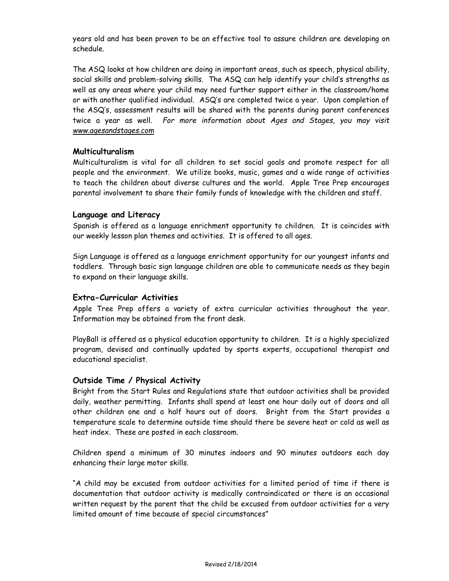years old and has been proven to be an effective tool to assure children are developing on schedule.

The ASQ looks at how children are doing in important areas, such as speech, physical ability, social skills and problem-solving skills. The ASQ can help identify your child's strengths as well as any areas where your child may need further support either in the classroom/home or with another qualified individual. ASQ's are completed twice a year. Upon completion of the ASQ's, assessment results will be shared with the parents during parent conferences twice a year as well. *For more information about Ages and Stages, you may visit [www.agesandstages.com](http://www.agesandstages.com/)*

#### **Multiculturalism**

Multiculturalism is vital for all children to set social goals and promote respect for all people and the environment. We utilize books, music, games and a wide range of activities to teach the children about diverse cultures and the world. Apple Tree Prep encourages parental involvement to share their family funds of knowledge with the children and staff.

#### **Language and Literacy**

Spanish is offered as a language enrichment opportunity to children. It is coincides with our weekly lesson plan themes and activities. It is offered to all ages.

Sign Language is offered as a language enrichment opportunity for our youngest infants and toddlers. Through basic sign language children are able to communicate needs as they begin to expand on their language skills.

#### **Extra-Curricular Activities**

Apple Tree Prep offers a variety of extra curricular activities throughout the year. Information may be obtained from the front desk.

PlayBall is offered as a physical education opportunity to children. It is a highly specialized program, devised and continually updated by sports experts, occupational therapist and educational specialist.

#### **Outside Time / Physical Activity**

Bright from the Start Rules and Regulations state that outdoor activities shall be provided daily, weather permitting. Infants shall spend at least one hour daily out of doors and all other children one and a half hours out of doors. Bright from the Start provides a temperature scale to determine outside time should there be severe heat or cold as well as heat index. These are posted in each classroom.

Children spend a minimum of 30 minutes indoors and 90 minutes outdoors each day enhancing their large motor skills.

"A child may be excused from outdoor activities for a limited period of time if there is documentation that outdoor activity is medically contraindicated or there is an occasional written request by the parent that the child be excused from outdoor activities for a very limited amount of time because of special circumstances"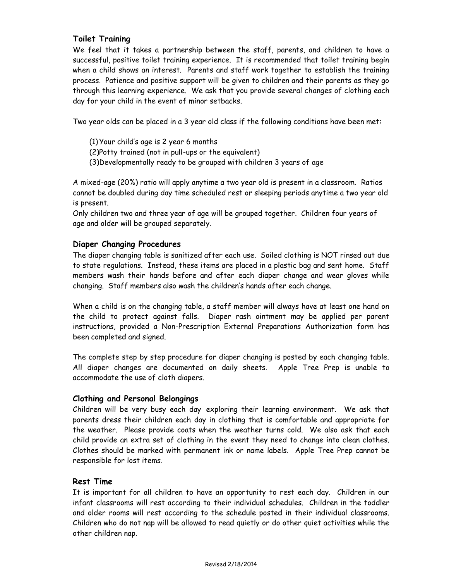#### **Toilet Training**

We feel that it takes a partnership between the staff, parents, and children to have a successful, positive toilet training experience. It is recommended that toilet training begin when a child shows an interest. Parents and staff work together to establish the training process. Patience and positive support will be given to children and their parents as they go through this learning experience. We ask that you provide several changes of clothing each day for your child in the event of minor setbacks.

Two year olds can be placed in a 3 year old class if the following conditions have been met:

(1) Your child's age is 2 year 6 months (2)Potty trained (not in pull-ups or the equivalent) (3)Developmentally ready to be grouped with children 3 years of age

A mixed-age (20%) ratio will apply anytime a two year old is present in a classroom. Ratios cannot be doubled during day time scheduled rest or sleeping periods anytime a two year old is present.

Only children two and three year of age will be grouped together. Children four years of age and older will be grouped separately.

#### **Diaper Changing Procedures**

The diaper changing table is sanitized after each use. Soiled clothing is NOT rinsed out due to state regulations. Instead, these items are placed in a plastic bag and sent home. Staff members wash their hands before and after each diaper change and wear gloves while changing. Staff members also wash the children's hands after each change.

When a child is on the changing table, a staff member will always have at least one hand on the child to protect against falls. Diaper rash ointment may be applied per parent instructions, provided a Non-Prescription External Preparations Authorization form has been completed and signed.

The complete step by step procedure for diaper changing is posted by each changing table. All diaper changes are documented on daily sheets. Apple Tree Prep is unable to accommodate the use of cloth diapers.

#### **Clothing and Personal Belongings**

Children will be very busy each day exploring their learning environment. We ask that parents dress their children each day in clothing that is comfortable and appropriate for the weather. Please provide coats when the weather turns cold. We also ask that each child provide an extra set of clothing in the event they need to change into clean clothes. Clothes should be marked with permanent ink or name labels. Apple Tree Prep cannot be responsible for lost items.

#### **Rest Time**

It is important for all children to have an opportunity to rest each day. Children in our infant classrooms will rest according to their individual schedules. Children in the toddler and older rooms will rest according to the schedule posted in their individual classrooms. Children who do not nap will be allowed to read quietly or do other quiet activities while the other children nap.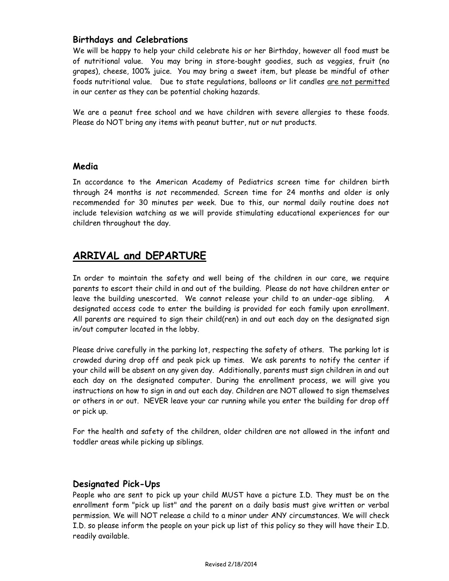# **Birthdays and Celebrations**

We will be happy to help your child celebrate his or her Birthday, however all food must be of nutritional value. You may bring in store-bought goodies, such as veggies, fruit (no grapes), cheese, 100% juice. You may bring a sweet item, but please be mindful of other foods nutritional value. Due to state regulations, balloons or lit candles are not permitted in our center as they can be potential choking hazards.

We are a peanut free school and we have children with severe allergies to these foods. Please do NOT bring any items with peanut butter, nut or nut products.

# **Media**

In accordance to the American Academy of Pediatrics screen time for children birth through 24 months is *not* recommended. Screen time for 24 months and older is only recommended for 30 minutes per week. Due to this, our normal daily routine does not include television watching as we will provide stimulating educational experiences for our children throughout the day.

# **ARRIVAL and DEPARTURE**

In order to maintain the safety and well being of the children in our care, we require parents to escort their child in and out of the building. Please do not have children enter or leave the building unescorted. We cannot release your child to an under-age sibling. A designated access code to enter the building is provided for each family upon enrollment. All parents are required to sign their child(ren) in and out each day on the designated sign in/out computer located in the lobby.

Please drive carefully in the parking lot, respecting the safety of others. The parking lot is crowded during drop off and peak pick up times. We ask parents to notify the center if your child will be absent on any given day. Additionally, parents must sign children in and out each day on the designated computer. During the enrollment process, we will give you instructions on how to sign in and out each day. Children are NOT allowed to sign themselves or others in or out. NEVER leave your car running while you enter the building for drop off or pick up.

For the health and safety of the children, older children are not allowed in the infant and toddler areas while picking up siblings.

# **Designated Pick-Ups**

People who are sent to pick up your child MUST have a picture I.D. They must be on the enrollment form "pick up list" and the parent on a daily basis must give written or verbal permission. We will NOT release a child to a minor under ANY circumstances. We will check I.D. so please inform the people on your pick up list of this policy so they will have their I.D. readily available.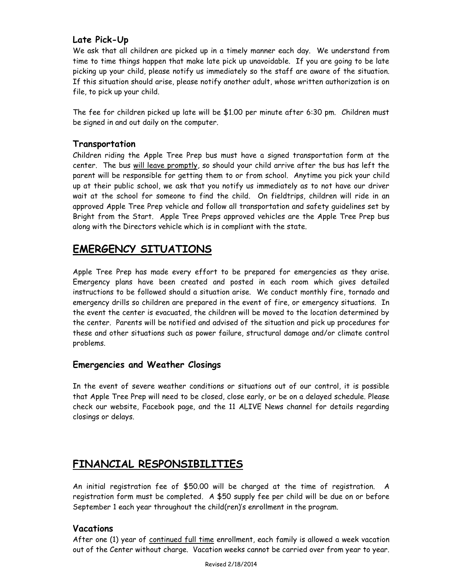# **Late Pick-Up**

We ask that all children are picked up in a timely manner each day. We understand from time to time things happen that make late pick up unavoidable. If you are going to be late picking up your child, please notify us immediately so the staff are aware of the situation. If this situation should arise, please notify another adult, whose written authorization is on file, to pick up your child.

The fee for children picked up late will be \$1.00 per minute after 6:30 pm. Children must be signed in and out daily on the computer.

# **Transportation**

Children riding the Apple Tree Prep bus must have a signed transportation form at the center. The bus will leave promptly, so should your child arrive after the bus has left the parent will be responsible for getting them to or from school. Anytime you pick your child up at their public school, we ask that you notify us immediately as to not have our driver wait at the school for someone to find the child. On fieldtrips, children will ride in an approved Apple Tree Prep vehicle and follow all transportation and safety guidelines set by Bright from the Start. Apple Tree Preps approved vehicles are the Apple Tree Prep bus along with the Directors vehicle which is in compliant with the state.

# **EMERGENCY SITUATIONS**

Apple Tree Prep has made every effort to be prepared for emergencies as they arise. Emergency plans have been created and posted in each room which gives detailed instructions to be followed should a situation arise. We conduct monthly fire, tornado and emergency drills so children are prepared in the event of fire, or emergency situations. In the event the center is evacuated, the children will be moved to the location determined by the center. Parents will be notified and advised of the situation and pick up procedures for these and other situations such as power failure, structural damage and/or climate control problems.

# **Emergencies and Weather Closings**

In the event of severe weather conditions or situations out of our control, it is possible that Apple Tree Prep will need to be closed, close early, or be on a delayed schedule. Please check our website, Facebook page, and the 11 ALIVE News channel for details regarding closings or delays.

# **FINANCIAL RESPONSIBILITIES**

An initial registration fee of \$50.00 will be charged at the time of registration. A registration form must be completed. A \$50 supply fee per child will be due on or before September 1 each year throughout the child(ren)'s enrollment in the program.

# **Vacations**

After one (1) year of continued full time enrollment, each family is allowed a week vacation out of the Center without charge. Vacation weeks cannot be carried over from year to year.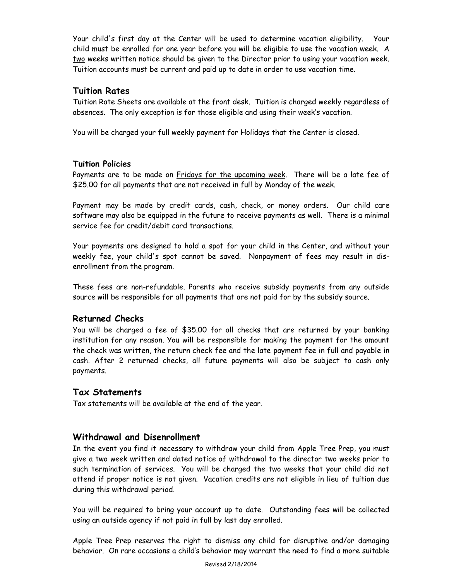Your child's first day at the Center will be used to determine vacation eligibility. Your child must be enrolled for one year before you will be eligible to use the vacation week. A two weeks written notice should be given to the Director prior to using your vacation week. Tuition accounts must be current and paid up to date in order to use vacation time.

# **Tuition Rates**

Tuition Rate Sheets are available at the front desk. Tuition is charged weekly regardless of absences. The only exception is for those eligible and using their week's vacation.

You will be charged your full weekly payment for Holidays that the Center is closed.

# **Tuition Policies**

Payments are to be made on Fridays for the upcoming week. There will be a late fee of \$25.00 for all payments that are not received in full by Monday of the week.

Payment may be made by credit cards, cash, check, or money orders. Our child care software may also be equipped in the future to receive payments as well. There is a minimal service fee for credit/debit card transactions.

Your payments are designed to hold a spot for your child in the Center, and without your weekly fee, your child's spot cannot be saved. Nonpayment of fees may result in disenrollment from the program.

These fees are non-refundable. Parents who receive subsidy payments from any outside source will be responsible for all payments that are not paid for by the subsidy source.

# **Returned Checks**

You will be charged a fee of \$35.00 for all checks that are returned by your banking institution for any reason. You will be responsible for making the payment for the amount the check was written, the return check fee and the late payment fee in full and payable in cash. After 2 returned checks, all future payments will also be subject to cash only payments.

# **Tax Statements**

Tax statements will be available at the end of the year.

# **Withdrawal and Disenrollment**

In the event you find it necessary to withdraw your child from Apple Tree Prep, you must give a two week written and dated notice of withdrawal to the director two weeks prior to such termination of services. You will be charged the two weeks that your child did not attend if proper notice is not given. Vacation credits are not eligible in lieu of tuition due during this withdrawal period.

You will be required to bring your account up to date. Outstanding fees will be collected using an outside agency if not paid in full by last day enrolled.

Apple Tree Prep reserves the right to dismiss any child for disruptive and/or damaging behavior. On rare occasions a child's behavior may warrant the need to find a more suitable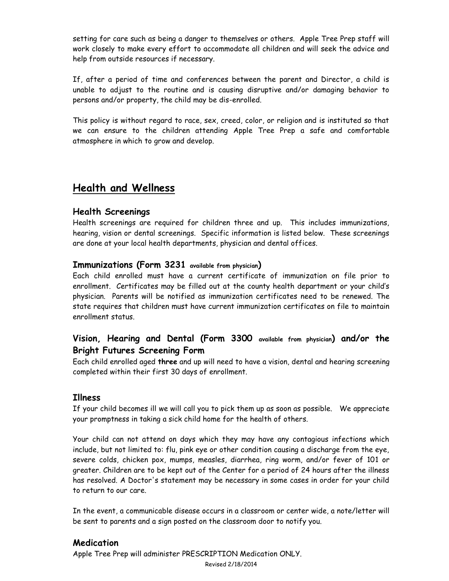setting for care such as being a danger to themselves or others. Apple Tree Prep staff will work closely to make every effort to accommodate all children and will seek the advice and help from outside resources if necessary.

If, after a period of time and conferences between the parent and Director, a child is unable to adjust to the routine and is causing disruptive and/or damaging behavior to persons and/or property, the child may be dis-enrolled.

This policy is without regard to race, sex, creed, color, or religion and is instituted so that we can ensure to the children attending Apple Tree Prep a safe and comfortable atmosphere in which to grow and develop.

# **Health and Wellness**

# **Health Screenings**

Health screenings are required for children three and up. This includes immunizations, hearing, vision or dental screenings. Specific information is listed below. These screenings are done at your local health departments, physician and dental offices.

# **Immunizations (Form 3231 available from physician)**

Each child enrolled must have a current certificate of immunization on file prior to enrollment. Certificates may be filled out at the county health department or your child's physician. Parents will be notified as immunization certificates need to be renewed. The state requires that children must have current immunization certificates on file to maintain enrollment status.

# **Vision, Hearing and Dental (Form 3300 available from physician) and/or the Bright Futures Screening Form**

Each child enrolled aged **three** and up will need to have a vision, dental and hearing screening completed within their first 30 days of enrollment.

# **Illness**

If your child becomes ill we will call you to pick them up as soon as possible. We appreciate your promptness in taking a sick child home for the health of others.

Your child can not attend on days which they may have any contagious infections which include, but not limited to: flu, pink eye or other condition causing a discharge from the eye, severe colds, chicken pox, mumps, measles, diarrhea, ring worm, and/or fever of 101 or greater. Children are to be kept out of the Center for a period of 24 hours after the illness has resolved. A Doctor's statement may be necessary in some cases in order for your child to return to our care.

In the event, a communicable disease occurs in a classroom or center wide, a note/letter will be sent to parents and a sign posted on the classroom door to notify you.

# **Medication**

Apple Tree Prep will administer PRESCRIPTION Medication ONLY.

Revised 2/18/2014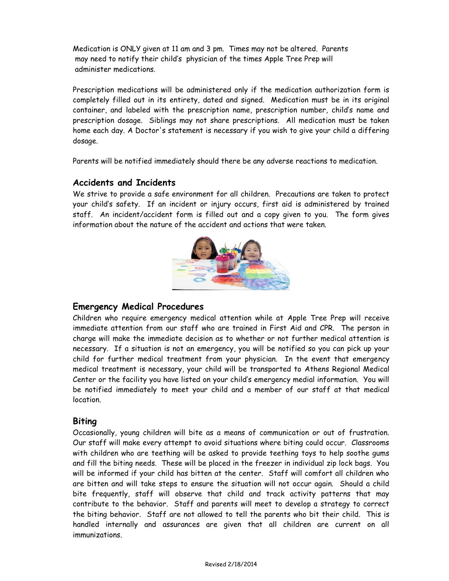Medication is ONLY given at 11 am and 3 pm. Times may not be altered. Parents may need to notify their child's physician of the times Apple Tree Prep will administer medications.

Prescription medications will be administered only if the medication authorization form is completely filled out in its entirety, dated and signed. Medication must be in its original container, and labeled with the prescription name, prescription number, child's name and prescription dosage. Siblings may not share prescriptions. All medication must be taken home each day. A Doctor's statement is necessary if you wish to give your child a differing dosage.

Parents will be notified immediately should there be any adverse reactions to medication.

#### **Accidents and Incidents**

We strive to provide a safe environment for all children. Precautions are taken to protect your child's safety. If an incident or injury occurs, first aid is administered by trained staff. An incident/accident form is filled out and a copy given to you. The form gives information about the nature of the accident and actions that were taken.



#### **Emergency Medical Procedures**

Children who require emergency medical attention while at Apple Tree Prep will receive immediate attention from our staff who are trained in First Aid and CPR. The person in charge will make the immediate decision as to whether or not further medical attention is necessary. If a situation is not an emergency, you will be notified so you can pick up your child for further medical treatment from your physician. In the event that emergency medical treatment is necessary, your child will be transported to Athens Regional Medical Center or the facility you have listed on your child's emergency medial information. You will be notified immediately to meet your child and a member of our staff at that medical **location** 

#### **Biting**

Occasionally, young children will bite as a means of communication or out of frustration. Our staff will make every attempt to avoid situations where biting could occur. Classrooms with children who are teething will be asked to provide teething toys to help soothe gums and fill the biting needs. These will be placed in the freezer in individual zip lock bags. You will be informed if your child has bitten at the center. Staff will comfort all children who are bitten and will take steps to ensure the situation will not occur again. Should a child bite frequently, staff will observe that child and track activity patterns that may contribute to the behavior. Staff and parents will meet to develop a strategy to correct the biting behavior. Staff are not allowed to tell the parents who bit their child. This is handled internally and assurances are given that all children are current on all immunizations.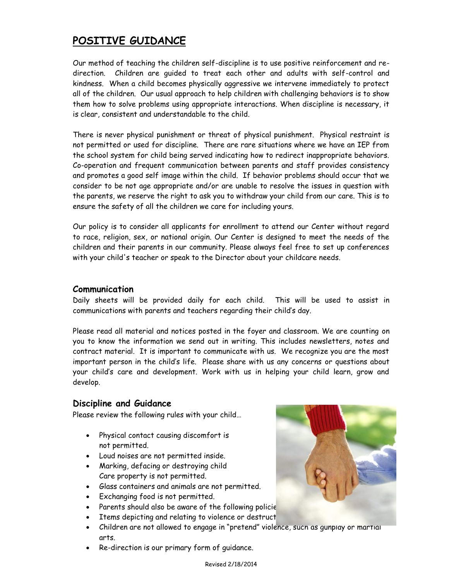# **POSITIVE GUIDANCE**

Our method of teaching the children self-discipline is to use positive reinforcement and redirection. Children are guided to treat each other and adults with self-control and kindness. When a child becomes physically aggressive we intervene immediately to protect all of the children. Our usual approach to help children with challenging behaviors is to show them how to solve problems using appropriate interactions. When discipline is necessary, it is clear, consistent and understandable to the child.

There is never physical punishment or threat of physical punishment. Physical restraint is not permitted or used for discipline. There are rare situations where we have an IEP from the school system for child being served indicating how to redirect inappropriate behaviors. Co-operation and frequent communication between parents and staff provides consistency and promotes a good self image within the child. If behavior problems should occur that we consider to be not age appropriate and/or are unable to resolve the issues in question with the parents, we reserve the right to ask you to withdraw your child from our care. This is to ensure the safety of all the children we care for including yours.

Our policy is to consider all applicants for enrollment to attend our Center without regard to race, religion, sex, or national origin. Our Center is designed to meet the needs of the children and their parents in our community. Please always feel free to set up conferences with your child's teacher or speak to the Director about your childcare needs.

# **Communication**

Daily sheets will be provided daily for each child. This will be used to assist in communications with parents and teachers regarding their child's day.

Please read all material and notices posted in the foyer and classroom. We are counting on you to know the information we send out in writing. This includes newsletters, notes and contract material. It is important to communicate with us. We recognize you are the most important person in the child's life. Please share with us any concerns or questions about your child's care and development. Work with us in helping your child learn, grow and develop.

# **Discipline and Guidance**

Please review the following rules with your child…

- Physical contact causing discomfort is not permitted.
- Loud noises are not permitted inside.
- Marking, defacing or destroying child Care property is not permitted.
- Glass containers and animals are not permitted.
- Exchanging food is not permitted.
- Parents should also be aware of the following policie
- Items depicting and relating to violence or destruct
- Children are not allowed to engage in "pretend" violence, such as gunplay or martial arts.
- Re-direction is our primary form of guidance.

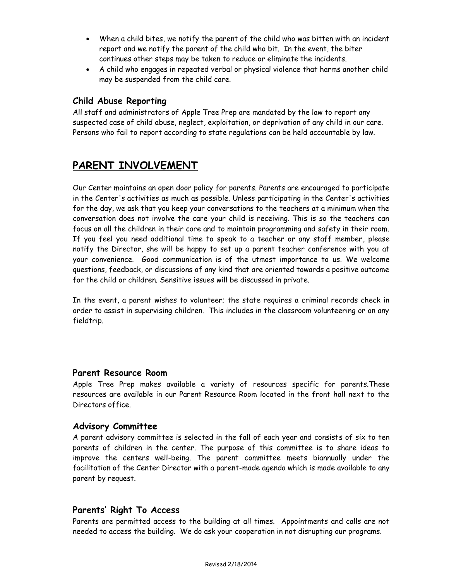- When a child bites, we notify the parent of the child who was bitten with an incident report and we notify the parent of the child who bit. In the event, the biter continues other steps may be taken to reduce or eliminate the incidents.
- A child who engages in repeated verbal or physical violence that harms another child may be suspended from the child care.

# **Child Abuse Reporting**

All staff and administrators of Apple Tree Prep are mandated by the law to report any suspected case of child abuse, neglect, exploitation, or deprivation of any child in our care. Persons who fail to report according to state regulations can be held accountable by law.

# **PARENT INVOLVEMENT**

Our Center maintains an open door policy for parents. Parents are encouraged to participate in the Center's activities as much as possible. Unless participating in the Center's activities for the day, we ask that you keep your conversations to the teachers at a minimum when the conversation does not involve the care your child is receiving. This is so the teachers can focus on all the children in their care and to maintain programming and safety in their room. If you feel you need additional time to speak to a teacher or any staff member, please notify the Director, she will be happy to set up a parent teacher conference with you at your convenience. Good communication is of the utmost importance to us. We welcome questions, feedback, or discussions of any kind that are oriented towards a positive outcome for the child or children. Sensitive issues will be discussed in private.

In the event, a parent wishes to volunteer; the state requires a criminal records check in order to assist in supervising children. This includes in the classroom volunteering or on any fieldtrip.

#### **Parent Resource Room**

Apple Tree Prep makes available a variety of resources specific for parents.These resources are available in our Parent Resource Room located in the front hall next to the Directors office.

#### **Advisory Committee**

A parent advisory committee is selected in the fall of each year and consists of six to ten parents of children in the center. The purpose of this committee is to share ideas to improve the centers well-being. The parent committee meets biannually under the facilitation of the Center Director with a parent-made agenda which is made available to any parent by request.

# **Parents' Right To Access**

Parents are permitted access to the building at all times. Appointments and calls are not needed to access the building. We do ask your cooperation in not disrupting our programs.